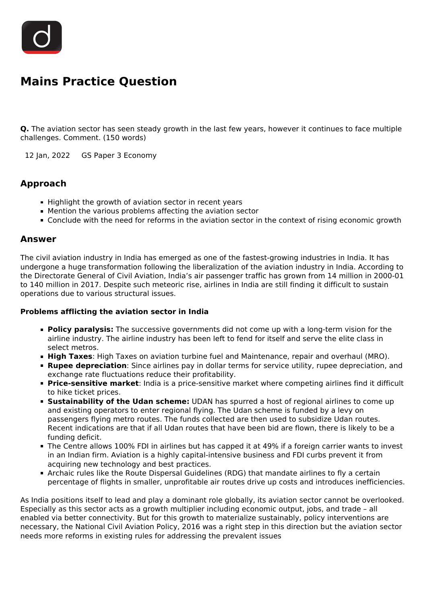

## **Mains Practice Question**

**Q.** The aviation sector has seen steady growth in the last few years, however it continues to face multiple challenges. Comment. (150 words)

12 Jan, 2022 GS Paper 3 Economy

## **Approach**

- Highlight the growth of aviation sector in recent years
- Mention the various problems affecting the aviation sector
- **Conclude with the need for reforms in the aviation sector in the context of rising economic growth**

## **Answer**

The civil aviation industry in India has emerged as one of the fastest-growing industries in India. It has undergone a huge transformation following the liberalization of the aviation industry in India. According to the Directorate General of Civil Aviation, India's air passenger traffic has grown from 14 million in 2000-01 to 140 million in 2017. Despite such meteoric rise, airlines in India are still finding it difficult to sustain operations due to various structural issues.

## **Problems afflicting the aviation sector in India**

- **Policy paralysis:** The successive governments did not come up with a long-term vision for the airline industry. The airline industry has been left to fend for itself and serve the elite class in select metros.
- **High Taxes**: High Taxes on aviation turbine fuel and Maintenance, repair and overhaul (MRO).
- **Rupee depreciation**: Since airlines pay in dollar terms for service utility, rupee depreciation, and exchange rate fluctuations reduce their profitability.
- **Price-sensitive market**: India is a price-sensitive market where competing airlines find it difficult to hike ticket prices.
- **Sustainability of the Udan scheme:** UDAN has spurred a host of regional airlines to come up and existing operators to enter regional flying. The Udan scheme is funded by a levy on passengers flying metro routes. The funds collected are then used to subsidize Udan routes. Recent indications are that if all Udan routes that have been bid are flown, there is likely to be a funding deficit.
- The Centre allows 100% FDI in airlines but has capped it at 49% if a foreign carrier wants to invest in an Indian firm. Aviation is a highly capital-intensive business and FDI curbs prevent it from acquiring new technology and best practices.
- Archaic rules like the Route Dispersal Guidelines (RDG) that mandate airlines to fly a certain percentage of flights in smaller, unprofitable air routes drive up costs and introduces inefficiencies.

As India positions itself to lead and play a dominant role globally, its aviation sector cannot be overlooked. Especially as this sector acts as a growth multiplier including economic output, jobs, and trade – all enabled via better connectivity. But for this growth to materialize sustainably, policy interventions are necessary, the National Civil Aviation Policy, 2016 was a right step in this direction but the aviation sector needs more reforms in existing rules for addressing the prevalent issues